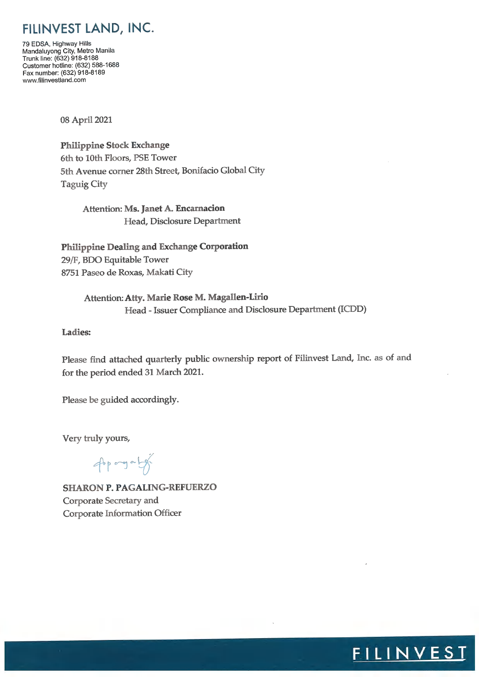## FILINVEST LAND, INC.

79 EDSA, Highway Hills Mandaluyong City, Metro Manila<br>Trunk line: (632) 918-8188 Customer hotline: (632) 588-1688 Fax number: (632) 918-8189 www.filinvestland.com

08 April 2021

**Philippine Stock Exchange** 6th to 10th Floors, PSE Tower 5th Avenue corner 28th Street, Bonifacio Global City **Taguig City** 

> Attention: Ms. Janet A. Encarnacion Head, Disclosure Department

Philippine Dealing and Exchange Corporation 29/F, BDO Equitable Tower 8751 Paseo de Roxas, Makati City

> Attention: Atty. Marie Rose M. Magallen-Lirio Head - Issuer Compliance and Disclosure Department (ICDD)

Ladies:

Please find attached quarterly public ownership report of Filinvest Land, Inc. as of and for the period ended 31 March 2021.

<u>FILINVEST</u>

Please be guided accordingly.

Very truly yours,

phone of

**SHARON P. PAGALING-REFUERZO** Corporate Secretary and Corporate Information Officer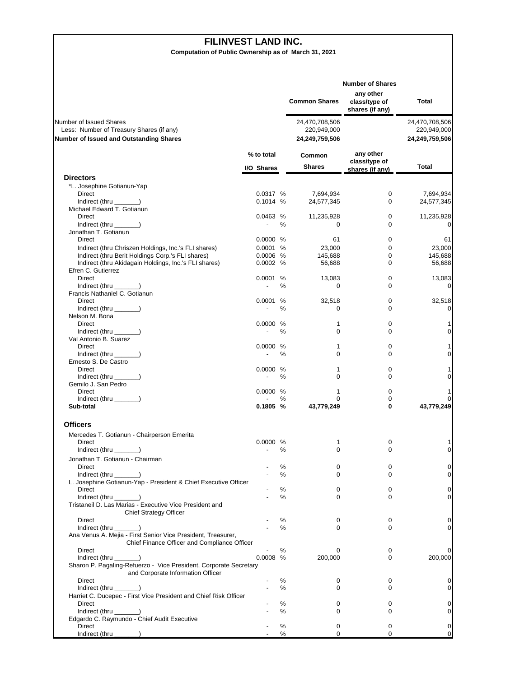## **FILINVEST LAND INC.**

**Computation of Public Ownership as of March 31, 2021**

|                                                                                                                       |                          |        | <b>Common Shares</b>                            | <b>Number of Shares</b><br>any other<br>class/type of<br>shares (if any) | Total                                           |
|-----------------------------------------------------------------------------------------------------------------------|--------------------------|--------|-------------------------------------------------|--------------------------------------------------------------------------|-------------------------------------------------|
| Number of Issued Shares<br>Less: Number of Treasury Shares (if any)<br><b>Number of Issued and Outstanding Shares</b> |                          |        | 24,470,708,506<br>220,949,000<br>24,249,759,506 |                                                                          | 24,470,708,506<br>220,949,000<br>24,249,759,506 |
|                                                                                                                       | % to total<br>I/O Shares |        | Common<br><b>Shares</b>                         | any other<br>class/type of<br>shares (if any)                            | Total                                           |
| <b>Directors</b>                                                                                                      |                          |        |                                                 |                                                                          |                                                 |
| *L. Josephine Gotianun-Yap                                                                                            |                          |        |                                                 |                                                                          |                                                 |
| Direct<br>$Indirect$ (thru $\qquad$ )                                                                                 | 0.0317 %<br>0.1014%      |        | 7,694,934<br>24,577,345                         | 0<br>0                                                                   | 7,694,934<br>24,577,345                         |
| Michael Edward T. Gotianun                                                                                            |                          |        |                                                 |                                                                          |                                                 |
| Direct                                                                                                                | 0.0463%                  |        | 11,235,928                                      | 0                                                                        | 11,235,928                                      |
| Indirect (thru $\_\_\_\_\_\$ )                                                                                        | $\overline{a}$           | %      | 0                                               | 0                                                                        | 0                                               |
| Jonathan T. Gotianun<br>Direct                                                                                        | 0.0000 %                 |        | 61                                              | 0                                                                        | 61                                              |
| Indirect (thru Chriszen Holdings, Inc.'s FLI shares)                                                                  | 0.0001 %                 |        | 23,000                                          | $\mathbf 0$                                                              | 23,000                                          |
| Indirect (thru Berit Holdings Corp.'s FLI shares)                                                                     | $0.0006$ %               |        | 145,688                                         | 0                                                                        | 145,688                                         |
| Indirect (thru Akidagain Holdings, Inc.'s FLI shares)                                                                 | 0.0002 %                 |        | 56,688                                          | 0                                                                        | 56,688                                          |
| Efren C. Gutierrez                                                                                                    |                          |        |                                                 |                                                                          |                                                 |
| Direct                                                                                                                | 0.0001 %                 |        | 13,083                                          | 0                                                                        | 13,083                                          |
| Indirect (thru ______)<br>Francis Nathaniel C. Gotianun                                                               |                          | %      | $\mathbf 0$                                     | 0                                                                        | 0                                               |
| Direct                                                                                                                | 0.0001                   | %      | 32,518                                          | 0                                                                        | 32,518                                          |
| $Indirect$ (thru $\qquad$ )                                                                                           | $\overline{\phantom{a}}$ | %      | 0                                               | $\Omega$                                                                 | 0                                               |
| Nelson M. Bona                                                                                                        |                          |        |                                                 |                                                                          |                                                 |
| Direct                                                                                                                | 0.0000 %                 |        | 1                                               | 0                                                                        | 1                                               |
| Indirect (thru ______)                                                                                                |                          | $\%$   | $\mathbf 0$                                     | $\Omega$                                                                 | 0                                               |
| Val Antonio B. Suarez<br>Direct                                                                                       | 0.0000 %                 |        | 1                                               | 0                                                                        | 1                                               |
| Indirect (thru ______)                                                                                                |                          | $\%$   | $\Omega$                                        | 0                                                                        | 0                                               |
| Ernesto S. De Castro                                                                                                  |                          |        |                                                 |                                                                          |                                                 |
| Direct                                                                                                                | 0.0000 %                 |        | 1                                               | 0                                                                        | 1                                               |
| Indirect (thru _______)                                                                                               |                          | ℅      | $\Omega$                                        | 0                                                                        | 0                                               |
| Gemilo J. San Pedro                                                                                                   |                          |        |                                                 |                                                                          |                                                 |
| Direct<br>Indirect (thru ______)                                                                                      | 0.0000 %                 | %      | 1<br>$\Omega$                                   | 0<br>0                                                                   | 1<br>0                                          |
| Sub-total                                                                                                             | $0.1805$ %               |        | 43,779,249                                      | 0                                                                        | 43,779,249                                      |
| <b>Officers</b>                                                                                                       |                          |        |                                                 |                                                                          |                                                 |
| Mercedes T. Gotianun - Chairperson Emerita                                                                            |                          |        |                                                 |                                                                          |                                                 |
| Direct                                                                                                                | 0.0000 %                 |        | 1                                               | 0                                                                        | 1                                               |
| $Indirect$ (thru $\qquad$ )                                                                                           |                          | ℅      | $\mathbf 0$                                     | $\Omega$                                                                 | $\overline{0}$                                  |
| Jonathan T. Gotianun - Chairman                                                                                       |                          |        |                                                 |                                                                          |                                                 |
| Direct<br>$Indirect$ (thru $\qquad$ )                                                                                 |                          | %<br>℅ | 0<br>0                                          | 0<br>0                                                                   | 0<br>0                                          |
| L. Josephine Gotianun-Yap - President & Chief Executive Officer                                                       |                          |        |                                                 |                                                                          |                                                 |
| Direct                                                                                                                |                          | ℅      | 0                                               | 0                                                                        | 0                                               |
| Indirect (thru )                                                                                                      |                          | ℅      | $\Omega$                                        | 0                                                                        | 0                                               |
| Tristaneil D. Las Marias - Executive Vice President and                                                               |                          |        |                                                 |                                                                          |                                                 |
| <b>Chief Strategy Officer</b><br><b>Direct</b>                                                                        |                          | %      | 0                                               | 0                                                                        | 0                                               |
| $Indirect$ (thru $\qquad$ )                                                                                           |                          | %      | 0                                               | $\Omega$                                                                 | 0                                               |
| Ana Venus A. Mejia - First Senior Vice President, Treasurer,                                                          |                          |        |                                                 |                                                                          |                                                 |
| Chief Finance Officer and Compliance Officer                                                                          |                          |        |                                                 |                                                                          |                                                 |
| <b>Direct</b>                                                                                                         |                          | ℅      | 0                                               | 0                                                                        | 0                                               |
| Indirect (thru                                                                                                        | 0.0008                   | %      | 200,000                                         | 0                                                                        | 200,000                                         |
| Sharon P. Pagaling-Refuerzo - Vice President, Corporate Secretary<br>and Corporate Information Officer                |                          |        |                                                 |                                                                          |                                                 |
| Direct                                                                                                                |                          | %      | 0                                               | 0                                                                        | 0                                               |
| Indirect (thru $\_\_\_\_\_\$ )                                                                                        |                          | ℅      | 0                                               | 0                                                                        | 0                                               |
| Harriet C. Ducepec - First Vice President and Chief Risk Officer                                                      |                          |        |                                                 |                                                                          |                                                 |
| Direct                                                                                                                |                          | %      | 0                                               | 0                                                                        | 0                                               |
| $Indirect$ (thru $\qquad$ )<br>Edgardo C. Raymundo - Chief Audit Executive                                            |                          | ℅      | $\Omega$                                        | 0                                                                        | 0                                               |
| Direct                                                                                                                |                          | %      | 0                                               | 0                                                                        | 0                                               |
| Indirect (thru ___                                                                                                    |                          | ℅      | 0                                               | 0                                                                        | 0                                               |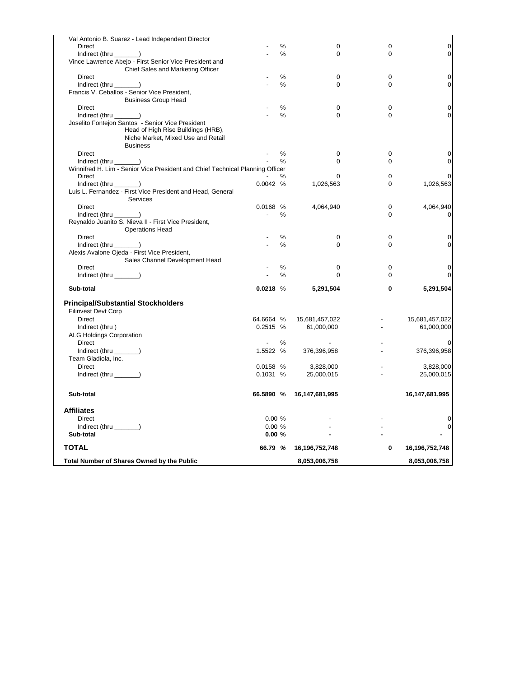| Val Antonio B. Suarez - Lead Independent Director                             |                          |      |                |             |                         |
|-------------------------------------------------------------------------------|--------------------------|------|----------------|-------------|-------------------------|
| Direct                                                                        |                          | %    | 0              | 0           | $\mathsf{O}\xspace$     |
| $Indirect$ (thru $\_\_\_\_\_\$ )                                              |                          | $\%$ | $\Omega$       | $\Omega$    | 0                       |
| Vince Lawrence Abejo - First Senior Vice President and                        |                          |      |                |             |                         |
| Chief Sales and Marketing Officer                                             |                          |      |                |             |                         |
| Direct                                                                        |                          | $\%$ | 0              | $\mathbf 0$ | 0                       |
| Indirect (thru ______)                                                        |                          | %    | 0              | $\mathbf 0$ | 0                       |
| Francis V. Ceballos - Senior Vice President,                                  |                          |      |                |             |                         |
| <b>Business Group Head</b>                                                    |                          |      |                |             |                         |
| Direct                                                                        |                          | %    | 0              | $\mathbf 0$ | 0                       |
| $Indirect$ (thru $\_\_\_\_\_\$ )                                              |                          | %    | 0              | $\mathbf 0$ | 0                       |
| Joselito Fontejon Santos - Senior Vice President                              |                          |      |                |             |                         |
| Head of High Rise Buildings (HRB),                                            |                          |      |                |             |                         |
| Niche Market, Mixed Use and Retail                                            |                          |      |                |             |                         |
| <b>Business</b>                                                               |                          |      |                |             |                         |
| Direct                                                                        |                          | %    | 0              | $\mathbf 0$ | 0                       |
| $Indirect$ (thru $\_\_\_\_\_\_\$ )                                            |                          | %    | 0              | $\mathbf 0$ | 0                       |
| Winnifred H. Lim - Senior Vice President and Chief Technical Planning Officer |                          |      |                |             |                         |
| <b>Direct</b>                                                                 |                          | %    | 0              | $\mathbf 0$ | 0                       |
| $Indirect$ (thru $\_\_\_\_\_\_\$ )                                            | 0.0042%                  |      | 1,026,563      | $\Omega$    | 1,026,563               |
| Luis L. Fernandez - First Vice President and Head, General                    |                          |      |                |             |                         |
| Services                                                                      |                          |      |                |             |                         |
| Direct                                                                        | 0.0168 %                 |      | 4,064,940      | 0           | 4,064,940               |
| Indirect (thru ________)                                                      | $\sim$                   | %    |                | $\Omega$    | 0                       |
| Reynaldo Juanito S. Nieva II - First Vice President,                          |                          |      |                |             |                         |
| <b>Operations Head</b>                                                        |                          |      |                |             |                         |
| Direct                                                                        |                          | %    | 0              | 0           | 0                       |
| Indirect (thru ______)                                                        |                          | %    | 0              | $\mathbf 0$ | 0                       |
| Alexis Avalone Ojeda - First Vice President,                                  |                          |      |                |             |                         |
| Sales Channel Development Head                                                |                          |      |                |             |                         |
| Direct                                                                        |                          | %    | 0              | $\mathbf 0$ | 0                       |
| Indirect (thru $\_\_\_\_\_\_\$ )                                              |                          | $\%$ | $\Omega$       | $\Omega$    | 0                       |
| Sub-total                                                                     | $0.0218$ %               |      | 5,291,504      | 0           | 5,291,504               |
| <b>Principal/Substantial Stockholders</b>                                     |                          |      |                |             |                         |
| Filinvest Devt Corp                                                           |                          |      |                |             |                         |
| Direct                                                                        | 64.6664 %                |      | 15,681,457,022 |             | 15,681,457,022          |
| Indirect (thru)                                                               | 0.2515 %                 |      | 61,000,000     |             | 61,000,000              |
| <b>ALG Holdings Corporation</b>                                               |                          |      |                |             |                         |
| <b>Direct</b>                                                                 | $\overline{\phantom{a}}$ | %    |                |             |                         |
| Indirect (thru _______)                                                       | 1.5522 %                 |      | 376,396,958    |             | 376,396,958             |
| Team Gladiola, Inc.                                                           |                          |      |                |             |                         |
| <b>Direct</b>                                                                 | 0.0158 %                 |      |                |             |                         |
|                                                                               |                          |      | 3,828,000      |             | 3,828,000<br>25,000,015 |
| Indirect (thru _______)                                                       | 0.1031%                  |      | 25,000,015     |             |                         |
| Sub-total                                                                     | 66.5890 %                |      | 16,147,681,995 |             | 16,147,681,995          |
| <b>Affiliates</b>                                                             |                          |      |                |             |                         |
| <b>Direct</b>                                                                 | 0.00%                    |      |                |             | 0                       |
|                                                                               | 0.00%                    |      |                |             | 0                       |
| Indirect (thru _______)<br>Sub-total                                          | 0.00%                    |      |                |             |                         |
| <b>TOTAL</b>                                                                  | 66.79 %                  |      | 16,196,752,748 | 0           | 16,196,752,748          |
|                                                                               |                          |      |                |             |                         |
| Total Number of Shares Owned by the Public                                    |                          |      | 8,053,006,758  |             | 8,053,006,758           |